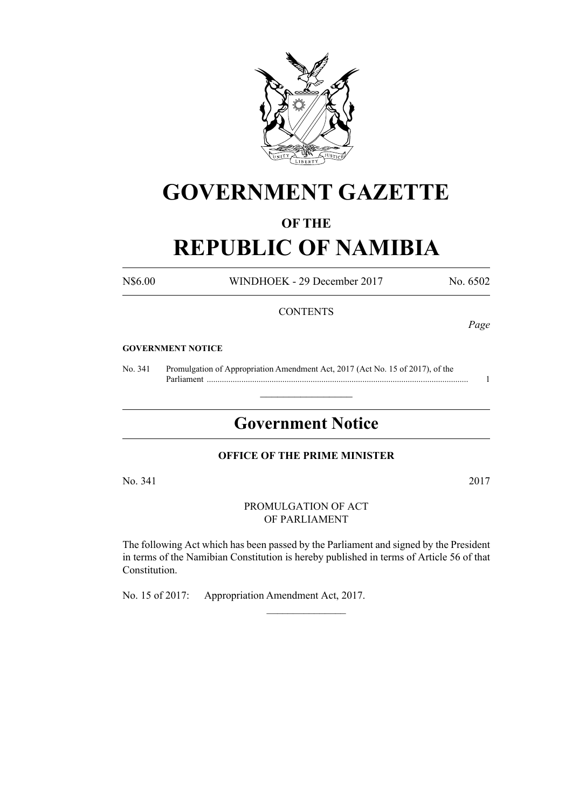

# **GOVERNMENT GAZETTE**

### **OF THE**

# **REPUBLIC OF NAMIBIA**

N\$6.00 WINDHOEK - 29 December 2017 No. 6502

#### **CONTENTS**

*Page*

#### **GOVERNMENT NOTICE**

No. 341 Promulgation of Appropriation Amendment Act, 2017 (Act No. 15 of 2017), of the Parliament ......................................................................................................................... 1

# **Government Notice**

 $\frac{1}{2}$  ,  $\frac{1}{2}$  ,  $\frac{1}{2}$  ,  $\frac{1}{2}$  ,  $\frac{1}{2}$  ,  $\frac{1}{2}$  ,  $\frac{1}{2}$ 

#### **OFFICE OF THE PRIME MINISTER**

No. 341 2017

PROMULGATION OF ACT OF PARLIAMENT

The following Act which has been passed by the Parliament and signed by the President in terms of the Namibian Constitution is hereby published in terms of Article 56 of that Constitution.

 $\frac{1}{2}$ 

No. 15 of 2017: Appropriation Amendment Act, 2017.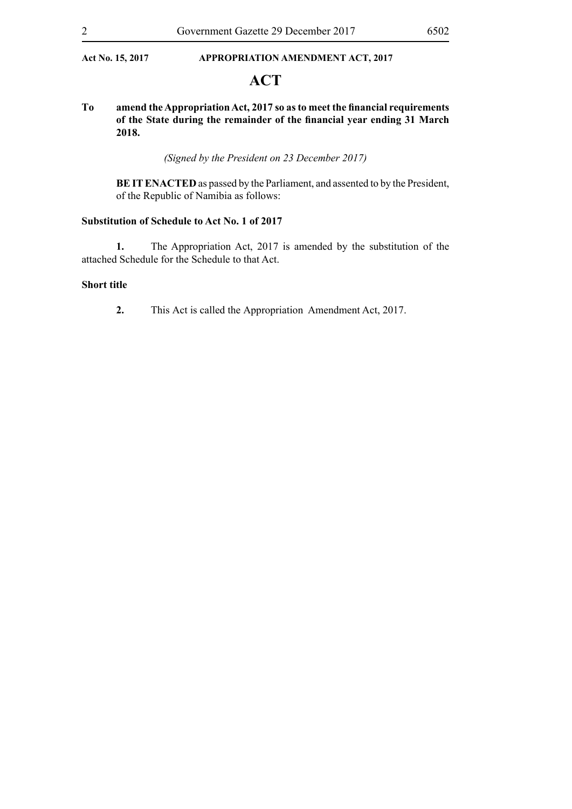#### Act No. 15, 2017 **APPROPRIATION AMENDMENT ACT, 2017**

## **ACT**

#### **To amend the Appropriation Act, 2017 so as to meet the financial requirements of the State during the remainder of the financial year ending 31 March 2018.**

*(Signed by the President on 23 December 2017)*

**BE IT ENACTED** as passed by the Parliament, and assented to by the President, of the Republic of Namibia as follows:

#### **Substitution of Schedule to Act No. 1 of 2017**

**1.** The Appropriation Act, 2017 is amended by the substitution of the attached Schedule for the Schedule to that Act.

#### **Short title**

**2.** This Act is called the Appropriation Amendment Act, 2017.